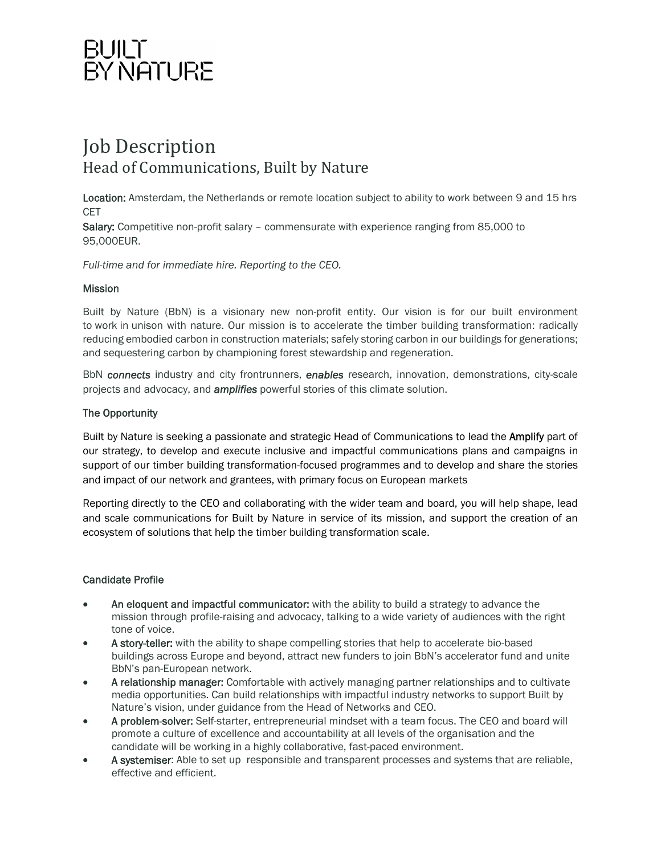## BUILT<br>BY NATURE

### Job Description Head of Communications, Built by Nature

Location: Amsterdam, the Netherlands or remote location subject to ability to work between 9 and 15 hrs CET

Salary: Competitive non-profit salary – commensurate with experience ranging from 85,000 to 95,000EUR.

*Full-time and for immediate hire. Reporting to the CEO.*

#### **Mission**

Built by Nature (BbN) is a visionary new non-profit entity. Our vision is for our built environment to work in unison with nature. Our mission is to accelerate the timber building transformation: radically reducing embodied carbon in construction materials; safely storing carbon in our buildings for generations; and sequestering carbon by championing forest stewardship and regeneration.

BbN *connects* industry and city frontrunners, *enables* research, innovation, demonstrations, city-scale projects and advocacy, and *amplifies* powerful stories of this climate solution.

#### The Opportunity

Built by Nature is seeking a passionate and strategic Head of Communications to lead the **Amplify** part of our strategy, to develop and execute inclusive and impactful communications plans and campaigns in support of our timber building transformation-focused programmes and to develop and share the stories and impact of our network and grantees, with primary focus on European markets

Reporting directly to the CEO and collaborating with the wider team and board, you will help shape, lead and scale communications for Built by Nature in service of its mission, and support the creation of an ecosystem of solutions that help the timber building transformation scale.

#### Candidate Profile

- An eloquent and impactful communicator: with the ability to build a strategy to advance the mission through profile-raising and advocacy, talking to a wide variety of audiences with the right tone of voice.
- A story-teller: with the ability to shape compelling stories that help to accelerate bio-based buildings across Europe and beyond, attract new funders to join BbN's accelerator fund and unite BbN's pan-European network.
- A relationship manager: Comfortable with actively managing partner relationships and to cultivate media opportunities. Can build relationships with impactful industry networks to support Built by Nature's vision, under guidance from the Head of Networks and CEO.
- A problem-solver: Self-starter, entrepreneurial mindset with a team focus. The CEO and board will promote a culture of excellence and accountability at all levels of the organisation and the candidate will be working in a highly collaborative, fast-paced environment.
- A systemiser: Able to set up responsible and transparent processes and systems that are reliable, effective and efficient.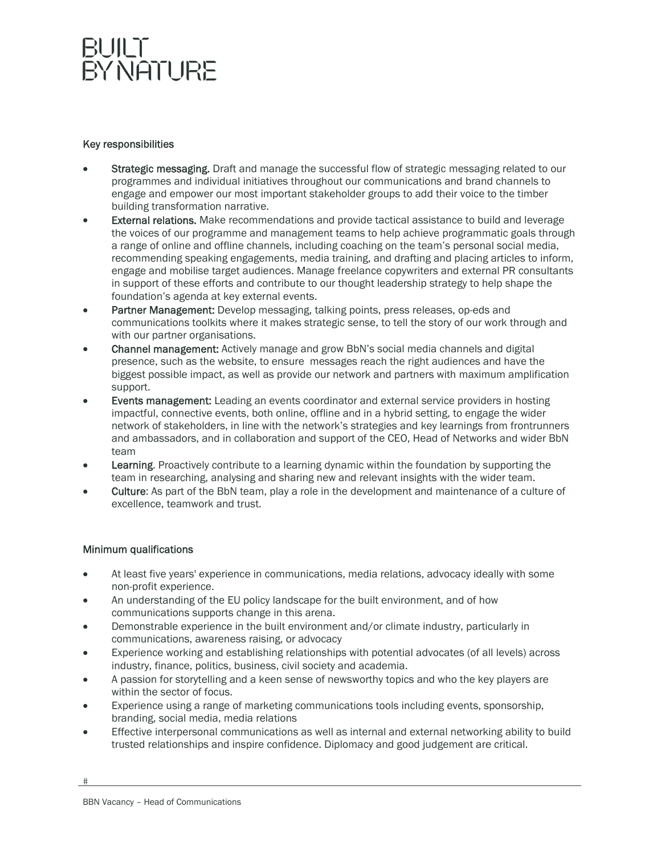### BUILT BY NATURE

#### Key responsibilities

- Strategic messaging. Draft and manage the successful flow of strategic messaging related to our programmes and individual initiatives throughout our communications and brand channels to engage and empower our most important stakeholder groups to add their voice to the timber building transformation narrative.
- **External relations.** Make recommendations and provide tactical assistance to build and leverage the voices of our programme and management teams to help achieve programmatic goals through a range of online and offline channels, including coaching on the team's personal social media, recommending speaking engagements, media training, and drafting and placing articles to inform, engage and mobilise target audiences. Manage freelance copywriters and external PR consultants in support of these efforts and contribute to our thought leadership strategy to help shape the foundation's agenda at key external events.
- Partner Management: Develop messaging, talking points, press releases, op-eds and communications toolkits where it makes strategic sense, to tell the story of our work through and with our partner organisations.
- Channel management: Actively manage and grow BbN's social media channels and digital presence, such as the website, to ensure messages reach the right audiences and have the biggest possible impact, as well as provide our network and partners with maximum amplification support.
- Events management: Leading an events coordinator and external service providers in hosting impactful, connective events, both online, offline and in a hybrid setting, to engage the wider network of stakeholders, in line with the network's strategies and key learnings from frontrunners and ambassadors, and in collaboration and support of the CEO, Head of Networks and wider BbN team
- Learning. Proactively contribute to a learning dynamic within the foundation by supporting the team in researching, analysing and sharing new and relevant insights with the wider team.
- Culture: As part of the BbN team, play a role in the development and maintenance of a culture of excellence, teamwork and trust.

#### Minimum qualifications

- At least five years' experience in communications, media relations, advocacy ideally with some non-profit experience.
- An understanding of the EU policy landscape for the built environment, and of how communications supports change in this arena.
- Demonstrable experience in the built environment and/or climate industry, particularly in communications, awareness raising, or advocacy
- Experience working and establishing relationships with potential advocates (of all levels) across industry, finance, politics, business, civil society and academia.
- A passion for storytelling and a keen sense of newsworthy topics and who the key players are within the sector of focus.
- Experience using a range of marketing communications tools including events, sponsorship, branding, social media, media relations
- Effective interpersonal communications as well as internal and external networking ability to build trusted relationships and inspire confidence. Diplomacy and good judgement are critical.